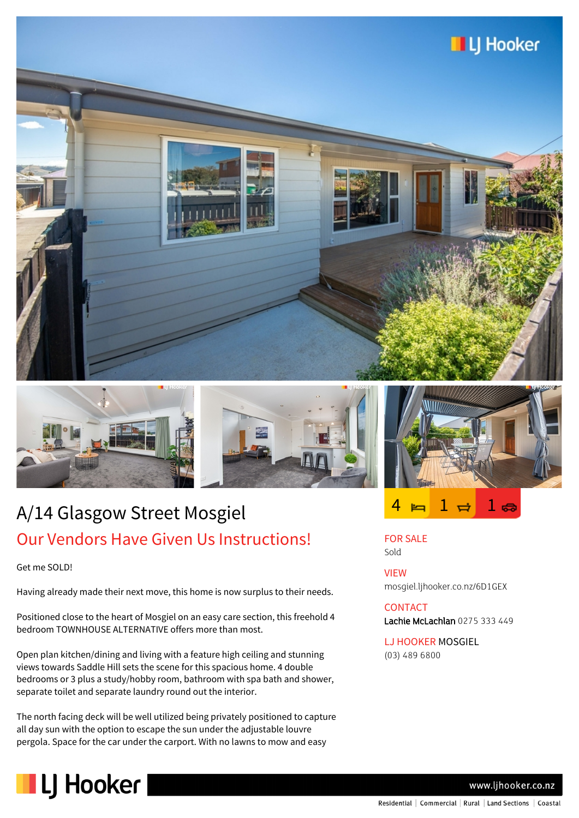







Get me SOLD!

Having already made their next move, this home is now surplus to their needs.

Positioned close to the heart of Mosgiel on an easy care section, this freehold 4 bedroom TOWNHOUSE ALTERNATIVE offers more than most.

Open plan kitchen/dining and living with a feature high ceiling and stunning views towards Saddle Hill sets the scene for this spacious home. 4 double bedrooms or 3 plus a study/hobby room, bathroom with spa bath and shower, separate toilet and separate laundry round out the interior.

The north facing deck will be well utilized being privately positioned to capture all day sun with the option to escape the sun under the adjustable louvre pergola. Space for the car under the carport. With no lawns to mow and easy



 $4 \bowtie 1 \bowtie 1$ 

FOR SALE Sold

VIEW mosgiel.ljhooker.co.nz/6D1GEX

## CONTACT Lachie McLachlan 0275 333 449

LJ HOOKER MOSGIEL

(03) 489 6800



www.ljhooker.co.nz